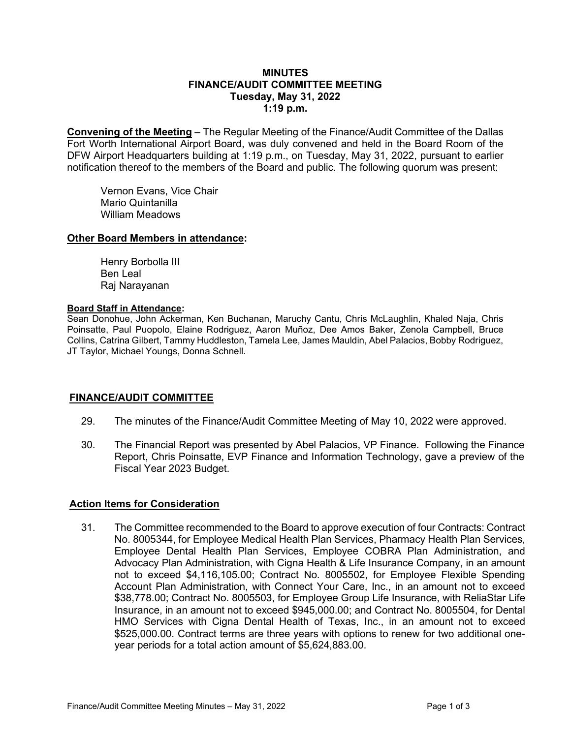## **MINUTES FINANCE/AUDIT COMMITTEE MEETING Tuesday, May 31, 2022 1:19 p.m.**

**Convening of the Meeting** – The Regular Meeting of the Finance/Audit Committee of the Dallas Fort Worth International Airport Board, was duly convened and held in the Board Room of the DFW Airport Headquarters building at 1:19 p.m., on Tuesday, May 31, 2022, pursuant to earlier notification thereof to the members of the Board and public. The following quorum was present:

Vernon Evans, Vice Chair Mario Quintanilla William Meadows

## **Other Board Members in attendance:**

Henry Borbolla III Ben Leal Raj Narayanan

#### **Board Staff in Attendance:**

Sean Donohue, John Ackerman, Ken Buchanan, Maruchy Cantu, Chris McLaughlin, Khaled Naja, Chris Poinsatte, Paul Puopolo, Elaine Rodriguez, Aaron Muñoz, Dee Amos Baker, Zenola Campbell, Bruce Collins, Catrina Gilbert, Tammy Huddleston, Tamela Lee, James Mauldin, Abel Palacios, Bobby Rodriguez, JT Taylor, Michael Youngs, Donna Schnell.

## **FINANCE/AUDIT COMMITTEE**

- 29. The minutes of the Finance/Audit Committee Meeting of May 10, 2022 were approved.
- 30. The Financial Report was presented by Abel Palacios, VP Finance. Following the Finance Report, Chris Poinsatte, EVP Finance and Information Technology, gave a preview of the Fiscal Year 2023 Budget.

#### **Action Items for Consideration**

31. The Committee recommended to the Board to approve execution of four Contracts: Contract No. 8005344, for Employee Medical Health Plan Services, Pharmacy Health Plan Services, Employee Dental Health Plan Services, Employee COBRA Plan Administration, and Advocacy Plan Administration, with Cigna Health & Life Insurance Company, in an amount not to exceed \$4,116,105.00; Contract No. 8005502, for Employee Flexible Spending Account Plan Administration, with Connect Your Care, Inc., in an amount not to exceed \$38,778.00; Contract No. 8005503, for Employee Group Life Insurance, with ReliaStar Life Insurance, in an amount not to exceed \$945,000.00; and Contract No. 8005504, for Dental HMO Services with Cigna Dental Health of Texas, Inc., in an amount not to exceed \$525,000.00. Contract terms are three years with options to renew for two additional oneyear periods for a total action amount of \$5,624,883.00.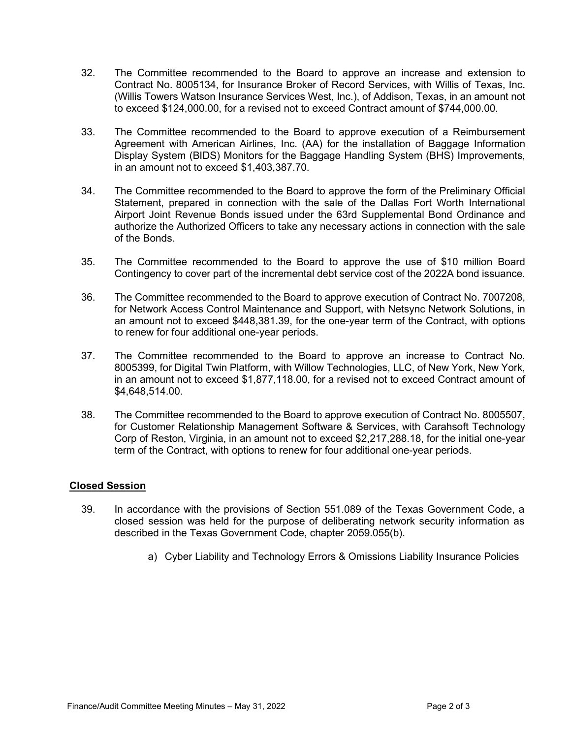- 32. The Committee recommended to the Board to approve an increase and extension to Contract No. 8005134, for Insurance Broker of Record Services, with Willis of Texas, Inc. (Willis Towers Watson Insurance Services West, Inc.), of Addison, Texas, in an amount not to exceed \$124,000.00, for a revised not to exceed Contract amount of \$744,000.00.
- 33. The Committee recommended to the Board to approve execution of a Reimbursement Agreement with American Airlines, Inc. (AA) for the installation of Baggage Information Display System (BIDS) Monitors for the Baggage Handling System (BHS) Improvements, in an amount not to exceed \$1,403,387.70.
- 34. The Committee recommended to the Board to approve the form of the Preliminary Official Statement, prepared in connection with the sale of the Dallas Fort Worth International Airport Joint Revenue Bonds issued under the 63rd Supplemental Bond Ordinance and authorize the Authorized Officers to take any necessary actions in connection with the sale of the Bonds.
- 35. The Committee recommended to the Board to approve the use of \$10 million Board Contingency to cover part of the incremental debt service cost of the 2022A bond issuance.
- 36. The Committee recommended to the Board to approve execution of Contract No. 7007208, for Network Access Control Maintenance and Support, with Netsync Network Solutions, in an amount not to exceed \$448,381.39, for the one-year term of the Contract, with options to renew for four additional one-year periods.
- 37. The Committee recommended to the Board to approve an increase to Contract No. 8005399, for Digital Twin Platform, with Willow Technologies, LLC, of New York, New York, in an amount not to exceed \$1,877,118.00, for a revised not to exceed Contract amount of \$4,648,514.00.
- 38. The Committee recommended to the Board to approve execution of Contract No. 8005507, for Customer Relationship Management Software & Services, with Carahsoft Technology Corp of Reston, Virginia, in an amount not to exceed \$2,217,288.18, for the initial one-year term of the Contract, with options to renew for four additional one-year periods.

## **Closed Session**

- 39. In accordance with the provisions of Section 551.089 of the Texas Government Code, a closed session was held for the purpose of deliberating network security information as described in the Texas Government Code, chapter 2059.055(b).
	- a) Cyber Liability and Technology Errors & Omissions Liability Insurance Policies